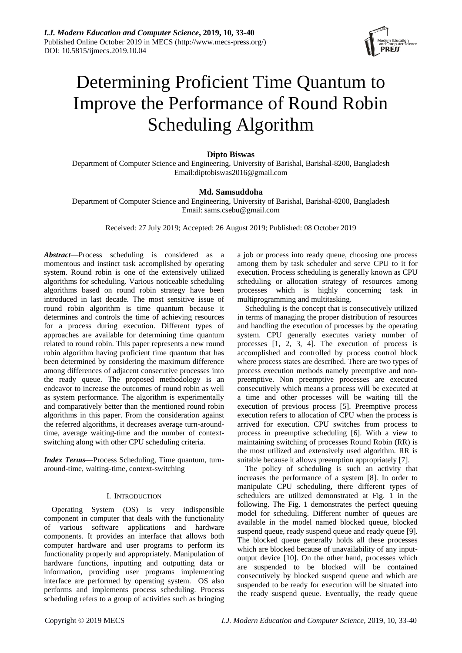

# Determining Proficient Time Quantum to Improve the Performance of Round Robin Scheduling Algorithm

# **Dipto Biswas**

Department of Computer Science and Engineering, University of Barishal, Barishal-8200, Bangladesh Email:diptobiswas2016@gmail.com

# **Md. Samsuddoha**

Department of Computer Science and Engineering, University of Barishal, Barishal-8200, Bangladesh Email: sams.csebu@gmail.com

Received: 27 July 2019; Accepted: 26 August 2019; Published: 08 October 2019

*Abstract*—Process scheduling is considered as a momentous and instinct task accomplished by operating system. Round robin is one of the extensively utilized algorithms for scheduling. Various noticeable scheduling algorithms based on round robin strategy have been introduced in last decade. The most sensitive issue of round robin algorithm is time quantum because it determines and controls the time of achieving resources for a process during execution. Different types of approaches are available for determining time quantum related to round robin. This paper represents a new round robin algorithm having proficient time quantum that has been determined by considering the maximum difference among differences of adjacent consecutive processes into the ready queue. The proposed methodology is an endeavor to increase the outcomes of round robin as well as system performance. The algorithm is experimentally and comparatively better than the mentioned round robin algorithms in this paper. From the consideration against the referred algorithms, it decreases average turn-aroundtime, average waiting-time and the number of contextswitching along with other CPU scheduling criteria.

*Index Terms***—**Process Scheduling, Time quantum, turnaround-time, waiting-time, context-switching

# I. INTRODUCTION

Operating System (OS) is very indispensible component in computer that deals with the functionality of various software applications and hardware components. It provides an interface that allows both computer hardware and user programs to perform its functionality properly and appropriately. Manipulation of hardware functions, inputting and outputting data or information, providing user programs implementing interface are performed by operating system. OS also performs and implements process scheduling. Process scheduling refers to a group of activities such as bringing a job or process into ready queue, choosing one process among them by task scheduler and serve CPU to it for execution. Process scheduling is generally known as CPU scheduling or allocation strategy of resources among processes which is highly concerning task in multiprogramming and multitasking.

Scheduling is the concept that is consecutively utilized in terms of managing the proper distribution of resources and handling the execution of processes by the operating system. CPU generally executes variety number of processes [1, 2, 3, 4]. The execution of process is accomplished and controlled by process control block where process states are described. There are two types of process execution methods namely preemptive and nonpreemptive. Non preemptive processes are executed consecutively which means a process will be executed at a time and other processes will be waiting till the execution of previous process [5]. Preemptive process execution refers to allocation of CPU when the process is arrived for execution. CPU switches from process to process in preemptive scheduling [6]. With a view to maintaining switching of processes Round Robin (RR) is the most utilized and extensively used algorithm. RR is suitable because it allows preemption appropriately [7].

The policy of scheduling is such an activity that increases the performance of a system [8]. In order to manipulate CPU scheduling, there different types of schedulers are utilized demonstrated at Fig. 1 in the following. The Fig. 1 demonstrates the perfect queuing model for scheduling. Different number of queues are available in the model named blocked queue, blocked suspend queue, ready suspend queue and ready queue [9]. The blocked queue generally holds all these processes which are blocked because of unavailability of any inputoutput device [10]. On the other hand, processes which are suspended to be blocked will be contained consecutively by blocked suspend queue and which are suspended to be ready for execution will be situated into the ready suspend queue. Eventually, the ready queue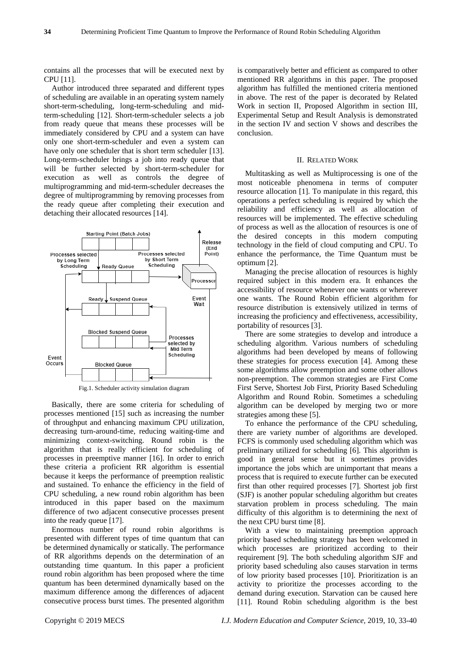contains all the processes that will be executed next by CPU [11].

Author introduced three separated and different types of scheduling are available in an operating system namely short-term-scheduling, long-term-scheduling and midterm-scheduling [12]. Short-term-scheduler selects a job from ready queue that means these processes will be immediately considered by CPU and a system can have only one short-term-scheduler and even a system can have only one scheduler that is short term scheduler [13]. Long-term-scheduler brings a job into ready queue that will be further selected by short-term-scheduler for execution as well as controls the degree of multiprogramming and mid-term-scheduler decreases the degree of multiprogramming by removing processes from the ready queue after completing their execution and detaching their allocated resources [14].



Fig.1. Scheduler activity simulation diagram

Basically, there are some criteria for scheduling of processes mentioned [15] such as increasing the number of throughput and enhancing maximum CPU utilization, decreasing turn-around-time, reducing waiting-time and minimizing context-switching. Round robin is the algorithm that is really efficient for scheduling of processes in preemptive manner [16]. In order to enrich these criteria a proficient RR algorithm is essential because it keeps the performance of preemption realistic and sustained. To enhance the efficiency in the field of CPU scheduling, a new round robin algorithm has been introduced in this paper based on the maximum difference of two adjacent consecutive processes present into the ready queue [17].

Enormous number of round robin algorithms is presented with different types of time quantum that can be determined dynamically or statically. The performance of RR algorithms depends on the determination of an outstanding time quantum. In this paper a proficient round robin algorithm has been proposed where the time quantum has been determined dynamically based on the maximum difference among the differences of adjacent consecutive process burst times. The presented algorithm

is comparatively better and efficient as compared to other mentioned RR algorithms in this paper. The proposed algorithm has fulfilled the mentioned criteria mentioned in above. The rest of the paper is decorated by Related Work in section II, Proposed Algorithm in section III, Experimental Setup and Result Analysis is demonstrated in the section IV and section V shows and describes the conclusion.

## II. RELATED WORK

Multitasking as well as Multiprocessing is one of the most noticeable phenomena in terms of computer resource allocation [1]. To manipulate in this regard, this operations a perfect scheduling is required by which the reliability and efficiency as well as allocation of resources will be implemented. The effective scheduling of process as well as the allocation of resources is one of the desired concepts in this modern computing technology in the field of cloud computing and CPU. To enhance the performance, the Time Quantum must be optimum [2].

Managing the precise allocation of resources is highly required subject in this modern era. It enhances the accessibility of resource whenever one wants or wherever one wants. The Round Robin efficient algorithm for resource distribution is extensively utilized in terms of increasing the proficiency and effectiveness, accessibility, portability of resources [3].

There are some strategies to develop and introduce a scheduling algorithm. Various numbers of scheduling algorithms had been developed by means of following these strategies for process execution [4]. Among these some algorithms allow preemption and some other allows non-preemption. The common strategies are First Come First Serve, Shortest Job First, Priority Based Scheduling Algorithm and Round Robin. Sometimes a scheduling algorithm can be developed by merging two or more strategies among these [5].

To enhance the performance of the CPU scheduling, there are variety number of algorithms are developed. FCFS is commonly used scheduling algorithm which was preliminary utilized for scheduling [6]. This algorithm is good in general sense but it sometimes provides importance the jobs which are unimportant that means a process that is required to execute further can be executed first than other required processes [7]. Shortest job first (SJF) is another popular scheduling algorithm but creates starvation problem in process scheduling. The main difficulty of this algorithm is to determining the next of the next CPU burst time [8].

With a view to maintaining preemption approach priority based scheduling strategy has been welcomed in which processes are prioritized according to their requirement [9]. The both scheduling algorithm SJF and priority based scheduling also causes starvation in terms of low priority based processes [10]. Prioritization is an activity to prioritize the processes according to the demand during execution. Starvation can be caused here [11]. Round Robin scheduling algorithm is the best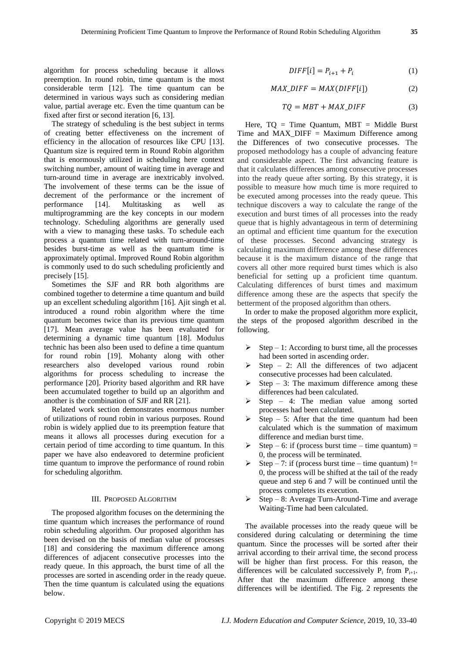algorithm for process scheduling because it allows preemption. In round robin, time quantum is the most considerable term [12]. The time quantum can be determined in various ways such as considering median value, partial average etc. Even the time quantum can be fixed after first or second iteration [6, 13].

The strategy of scheduling is the best subject in terms of creating better effectiveness on the increment of efficiency in the allocation of resources like CPU [13]. Quantum size is required term in Round Robin algorithm that is enormously utilized in scheduling here context switching number, amount of waiting time in average and turn-around time in average are inextricably involved. The involvement of these terms can be the issue of decrement of the performance or the increment of performance [14]. Multitasking as well as multiprogramming are the key concepts in our modern technology. Scheduling algorithms are generally used with a view to managing these tasks. To schedule each process a quantum time related with turn-around-time besides burst-time as well as the quantum time is approximately optimal. Improved Round Robin algorithm is commonly used to do such scheduling proficiently and precisely [15].

Sometimes the SJF and RR both algorithms are combined together to determine a time quantum and build up an excellent scheduling algorithm [16]. Ajit singh et al. introduced a round robin algorithm where the time quantum becomes twice than its previous time quantum [17]. Mean average value has been evaluated for determining a dynamic time quantum [18]. Modulus technic has been also been used to define a time quantum for round robin [19]. Mohanty along with other researchers also developed various round robin algorithms for process scheduling to increase the performance [20]. Priority based algorithm and RR have been accumulated together to build up an algorithm and another is the combination of SJF and RR [21].

Related work section demonstrates enormous number of utilizations of round robin in various purposes. Round robin is widely applied due to its preemption feature that means it allows all processes during execution for a certain period of time according to time quantum. In this paper we have also endeavored to determine proficient time quantum to improve the performance of round robin for scheduling algorithm.

#### III. PROPOSED ALGORITHM

The proposed algorithm focuses on the determining the time quantum which increases the performance of round robin scheduling algorithm. Our proposed algorithm has been devised on the basis of median value of processes [18] and considering the maximum difference among differences of adjacent consecutive processes into the ready queue. In this approach, the burst time of all the processes are sorted in ascending order in the ready queue. Then the time quantum is calculated using the equations below.

$$
DIFF[i] = P_{i+1} + P_i \tag{1}
$$

$$
MAX\_DIFF = MAX(DIFF[i]) \tag{2}
$$

$$
TQ = MBT + MAX\_DIFF
$$
 (3)

Here,  $TO = Time$  Quantum,  $MBT = Middle$  Burst Time and MAX\_DIFF = Maximum Difference among the Differences of two consecutive processes. The proposed methodology has a couple of advancing feature and considerable aspect. The first advancing feature is that it calculates differences among consecutive processes into the ready queue after sorting. By this strategy, it is possible to measure how much time is more required to be executed among processes into the ready queue. This technique discovers a way to calculate the range of the execution and burst times of all processes into the ready queue that is highly advantageous in term of determining an optimal and efficient time quantum for the execution of these processes. Second advancing strategy is calculating maximum difference among these differences because it is the maximum distance of the range that covers all other more required burst times which is also beneficial for setting up a proficient time quantum. Calculating differences of burst times and maximum difference among these are the aspects that specify the betterment of the proposed algorithm than others.

In order to make the proposed algorithm more explicit, the steps of the proposed algorithm described in the following.

- Step 1: According to burst time, all the processes had been sorted in ascending order.
- Step 2: All the differences of two adjacent consecutive processes had been calculated.
- $\triangleright$  Step 3: The maximum difference among these differences had been calculated.
- $\triangleright$  Step 4: The median value among sorted processes had been calculated.
- $\triangleright$  Step 5: After that the time quantum had been calculated which is the summation of maximum difference and median burst time.
- Step 6: if (process burst time time quantum) = 0, the process will be terminated.
- Step 7: if (process burst time time quantum) != 0, the process will be shifted at the tail of the ready queue and step 6 and 7 will be continued until the process completes its execution.
- Step 8: Average Turn-Around-Time and average Waiting-Time had been calculated.

The available processes into the ready queue will be considered during calculating or determining the time quantum. Since the processes will be sorted after their arrival according to their arrival time, the second process will be higher than first process. For this reason, the differences will be calculated successively  $P_i$  from  $P_{i+1}$ . After that the maximum difference among these differences will be identified. The Fig. 2 represents the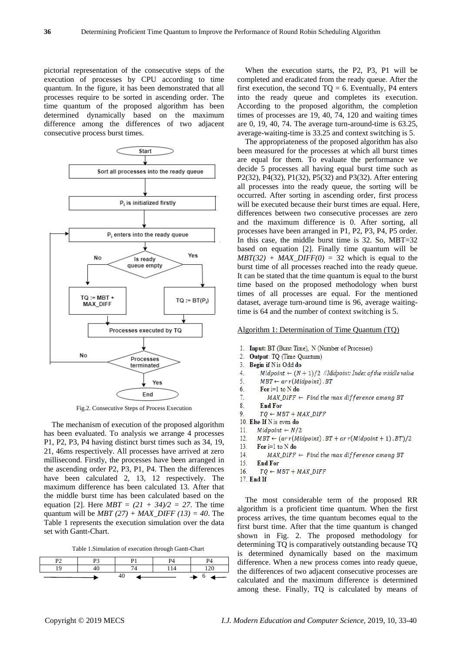pictorial representation of the consecutive steps of the execution of processes by CPU according to time quantum. In the figure, it has been demonstrated that all processes require to be sorted in ascending order. The time quantum of the proposed algorithm has been determined dynamically based on the maximum difference among the differences of two adjacent consecutive process burst times.



Fig.2. Consecutive Steps of Process Execution

The mechanism of execution of the proposed algorithm has been evaluated. To analysis we arrange 4 processes P1, P2, P3, P4 having distinct burst times such as 34, 19, 21, 46ms respectively. All processes have arrived at zero millisecond. Firstly, the processes have been arranged in the ascending order P2, P3, P1, P4. Then the differences have been calculated 2, 13, 12 respectively. The maximum difference has been calculated 13. After that the middle burst time has been calculated based on the equation [2]. Here  $MBT = (21 + 34)/2 = 27$ . The time quantum will be  $MBT (27) + MAX$  DIFF (13) = 40. The Table 1 represents the execution simulation over the data set with Gantt-Chart.

Table 1.Simulation of execution through Gantt-Chart

|  |     | DЛ  |                                                   |
|--|-----|-----|---------------------------------------------------|
|  |     | 114 | 20                                                |
|  | -40 |     | $\longrightarrow$ $\rightarrow$ $^6$ $\leftarrow$ |

When the execution starts, the P2, P3, P1 will be completed and eradicated from the ready queue. After the first execution, the second  $TO = 6$ . Eventually, P4 enters into the ready queue and completes its execution. According to the proposed algorithm, the completion times of processes are 19, 40, 74, 120 and waiting times are 0, 19, 40, 74. The average turn-around-time is 63.25, average-waiting-time is 33.25 and context switching is 5.

The appropriateness of the proposed algorithm has also been measured for the processes at which all burst times are equal for them. To evaluate the performance we decide 5 processes all having equal burst time such as P2(32), P4(32), P1(32), P5(32) and P3(32). After entering all processes into the ready queue, the sorting will be occurred. After sorting in ascending order, first process will be executed because their burst times are equal. Here, differences between two consecutive processes are zero and the maximum difference is 0. After sorting, all processes have been arranged in P1, P2, P3, P4, P5 order. In this case, the middle burst time is 32. So, MBT=32 based on equation [2]. Finally time quantum will be  $MBT(32) + MAX\_DIFF(0) = 32$  which is equal to the burst time of all processes reached into the ready queue. It can be stated that the time quantum is equal to the burst time based on the proposed methodology when burst times of all processes are equal. For the mentioned dataset, average turn-around time is 96, average waitingtime is 64 and the number of context switching is 5.

Algorithm 1: Determination of Time Quantum (TQ)

- 1. Input: BT (Burst Time), N (Number of Processes)
- $2.$ **Output: TO (Time Quantum)**
- $3<sub>1</sub>$ Begin if N is Odd do
- $\overline{4}$ Midpoint  $\leftarrow (N+1)/2$  //Midpoint: Index of the middle value
- $MBT \leftarrow ar r(Midpoint) . BT$ 5.
- 6. For  $i=1$  to  $N$  do
- $\tau$  $MAX\_DIFF \leftarrow Find the max difference among BT$
- $\overline{8}$ **End For**
- $\mathbf Q$  $TO \leftarrow MBT + MAX$  DIFF
- 10. Else If N is even do
- $Midpoint \leftarrow N/2$  $11<sup>2</sup>$
- $12<sup>°</sup>$  $MBT \leftarrow (ar r(Midpoint) . BT + ar r(Midpoint + 1) . BT)/2$
- $13<sup>°</sup>$ For  $i=1$  to N do
- $MAX$  DIFF  $\leftarrow$  Find the max difference among BT 14.
- $15<sub>1</sub>$ **End For**
- $TQ \leftarrow MBT + MAX\_DIFF$ 16
- 17 End If

The most considerable term of the proposed RR algorithm is a proficient time quantum. When the first process arrives, the time quantum becomes equal to the first burst time. After that the time quantum is changed shown in Fig. 2. The proposed methodology for determining TQ is comparatively outstanding because TQ is determined dynamically based on the maximum difference. When a new process comes into ready queue, the differences of two adjacent consecutive processes are calculated and the maximum difference is determined among these. Finally, TQ is calculated by means of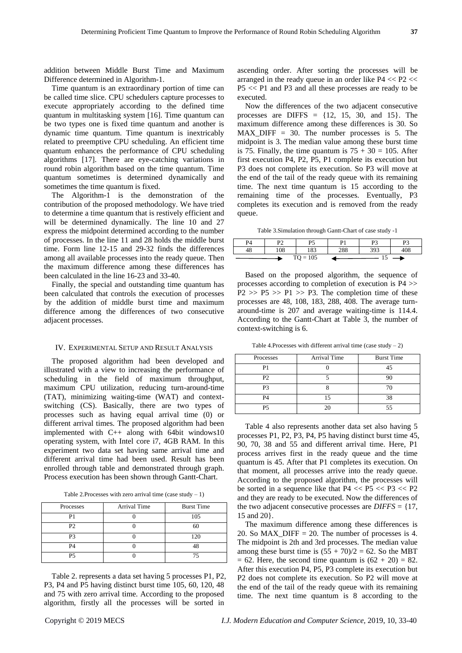addition between Middle Burst Time and Maximum Difference determined in Algorithm-1.

Time quantum is an extraordinary portion of time can be called time slice. CPU schedulers capture processes to execute appropriately according to the defined time quantum in multitasking system [16]. Time quantum can be two types one is fixed time quantum and another is dynamic time quantum. Time quantum is inextricably related to preemptive CPU scheduling. An efficient time quantum enhances the performance of CPU scheduling algorithms [17]. There are eye-catching variations in round robin algorithm based on the time quantum. Time quantum sometimes is determined dynamically and sometimes the time quantum is fixed.

The Algorithm-1 is the demonstration of the contribution of the proposed methodology. We have tried to determine a time quantum that is restively efficient and will be determined dynamically. The line 10 and 27 express the midpoint determined according to the number of processes. In the line 11 and 28 holds the middle burst time. Form line 12-15 and 29-32 finds the differences among all available processes into the ready queue. Then the maximum difference among these differences has been calculated in the line 16-23 and 33-40.

Finally, the special and outstanding time quantum has been calculated that controls the execution of processes by the addition of middle burst time and maximum difference among the differences of two consecutive adjacent processes.

## IV. EXPERIMENTAL SETUP AND RESULT ANALYSIS

The proposed algorithm had been developed and illustrated with a view to increasing the performance of scheduling in the field of maximum throughput, maximum CPU utilization, reducing turn-around-time (TAT), minimizing waiting-time (WAT) and contextswitching (CS). Basically, there are two types of processes such as having equal arrival time (0) or different arrival times. The proposed algorithm had been implemented with C++ along with 64bit windows10 operating system, with Intel core i7, 4GB RAM. In this experiment two data set having same arrival time and different arrival time had been used. Result has been enrolled through table and demonstrated through graph. Process execution has been shown through Gantt-Chart.

Table 2.Processes with zero arrival time (case study  $-1$ )

| Processes      | Arrival Time | <b>Burst Time</b> |
|----------------|--------------|-------------------|
| P1             |              | 105               |
| P <sub>2</sub> |              | 60                |
| P3             |              | 120               |
| P <sub>4</sub> |              |                   |
| P5             |              | ヮ                 |

Table 2. represents a data set having 5 processes P1, P2, P3, P4 and P5 having distinct burst time 105, 60, 120, 48 and 75 with zero arrival time. According to the proposed algorithm, firstly all the processes will be sorted in

ascending order. After sorting the processes will be arranged in the ready queue in an order like  $P4 \ll P2 \ll$ P5 << P1 and P3 and all these processes are ready to be executed.

Now the differences of the two adjacent consecutive processes are DIFFS  $= \{12, 15, 30, \text{ and } 15\}$ . The maximum difference among these differences is 30. So MAX DIFF  $= 30$ . The number processes is 5. The midpoint is 3. The median value among these burst time is 75. Finally, the time quantum is  $75 + 30 = 105$ . After first execution P4, P2, P5, P1 complete its execution but P3 does not complete its execution. So P3 will move at the end of the tail of the ready queue with its remaining time. The next time quantum is 15 according to the remaining time of the processes. Eventually, P3 completes its execution and is removed from the ready queue.

Table 3.Simulation through Gantt-Chart of case study -1

| P4 | D٦  | Dς         |     | D٦  | D <sub>2</sub> |  |
|----|-----|------------|-----|-----|----------------|--|
|    | 108 | 183        | 288 | 393 | 408            |  |
|    |     | $TO = 105$ |     |     |                |  |

Based on the proposed algorithm, the sequence of processes according to completion of execution is P4 >>  $P2 \gg P5 \gg P1 \gg P3$ . The completion time of these processes are 48, 108, 183, 288, 408. The average turnaround-time is 207 and average waiting-time is 114.4. According to the Gantt-Chart at Table 3, the number of context-switching is 6.

Table 4.Processes with different arrival time (case study  $-2$ )

| Processes      | Arrival Time | <b>Burst Time</b> |
|----------------|--------------|-------------------|
| P1             |              | 45                |
| P <sub>2</sub> |              |                   |
| P <sub>3</sub> |              |                   |
| P4             |              | 38                |
| <b>P5</b>      |              |                   |

Table 4 also represents another data set also having 5 processes P1, P2, P3, P4, P5 having distinct burst time 45, 90, 70, 38 and 55 and different arrival time. Here, P1 process arrives first in the ready queue and the time quantum is 45. After that P1 completes its execution. On that moment, all processes arrive into the ready queue. According to the proposed algorithm, the processes will be sorted in a sequence like that  $P4 \ll P5 \ll P3 \ll P2$ and they are ready to be executed. Now the differences of the two adjacent consecutive processes are *DIFFS* = {17, 15 and 20}.

The maximum difference among these differences is 20. So MAX\_DIFF = 20. The number of processes is 4. The midpoint is 2th and 3rd processes. The median value among these burst time is  $(55 + 70)/2 = 62$ . So the MBT  $= 62$ . Here, the second time quantum is  $(62 + 20) = 82$ . After this execution P4, P5, P3 complete its execution but P2 does not complete its execution. So P2 will move at the end of the tail of the ready queue with its remaining time. The next time quantum is 8 according to the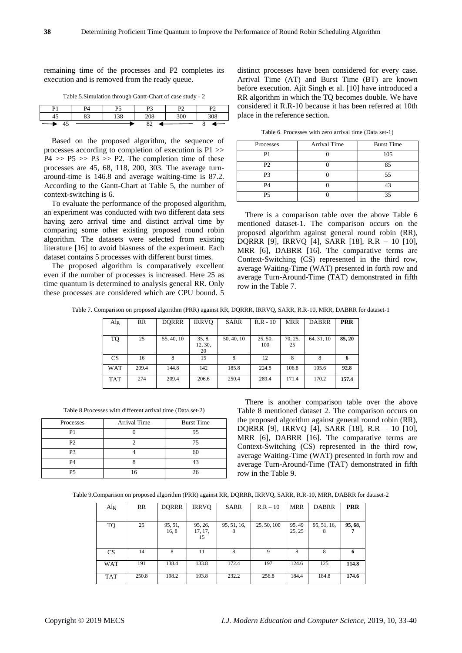remaining time of the processes and P2 completes its execution and is removed from the ready queue.

| D <sub>1</sub> | DЛ       | ne          |                | D٨<br>- -         |     |
|----------------|----------|-------------|----------------|-------------------|-----|
| ≖              | ວາ<br>ບຸ | 20<br>1 J U | 208            | 300<br><u>JUU</u> | 308 |
| 4<br>tJ        |          |             | $\Omega$<br>o∠ |                   |     |

Based on the proposed algorithm, the sequence of processes according to completion of execution is P1 >>  $P4 \gg P5 \gg P3 \gg P2$ . The completion time of these processes are 45, 68, 118, 200, 303. The average turnaround-time is 146.8 and average waiting-time is 87.2. According to the Gantt-Chart at Table 5, the number of context-switching is 6.

To evaluate the performance of the proposed algorithm, an experiment was conducted with two different data sets having zero arrival time and distinct arrival time by comparing some other existing proposed round robin algorithm. The datasets were selected from existing literature [16] to avoid biasness of the experiment. Each dataset contains 5 processes with different burst times.

The proposed algorithm is comparatively excellent even if the number of processes is increased. Here 25 as time quantum is determined to analysis general RR. Only these processes are considered which are CPU bound. 5 distinct processes have been considered for every case. Arrival Time (AT) and Burst Time (BT) are known before execution. Ajit Singh et al. [10] have introduced a RR algorithm in which the TQ becomes double. We have considered it R.R-10 because it has been referred at 10th place in the reference section.

Table 6. Processes with zero arrival time (Data set-1)

| Processes      | Arrival Time | <b>Burst Time</b> |
|----------------|--------------|-------------------|
| P1             |              | 105               |
| P <sub>2</sub> |              | 85                |
| P <sub>3</sub> |              | 55                |
| P4             |              |                   |
| P5             |              | 35                |

There is a comparison table over the above Table 6 mentioned dataset-1. The comparison occurs on the proposed algorithm against general round robin (RR), DQRRR [9], IRRVQ [4], SARR [18], R.R – 10 [10], MRR [6], DABRR [16]. The comparative terms are Context-Switching (CS) represented in the third row, average Waiting-Time (WAT) presented in forth row and average Turn-Around-Time (TAT) demonstrated in fifth row in the Table 7.

Table 7. Comparison on proposed algorithm (PRR) against RR, DQRRR, IRRVQ, SARR, R.R-10, MRR, DABRR for dataset-1

| Alg        | RR    | <b>DORRR</b> | <b>IRRVO</b>            | <b>SARR</b> | $R.R - 10$     | <b>MRR</b>    | <b>DABRR</b> | <b>PRR</b> |
|------------|-------|--------------|-------------------------|-------------|----------------|---------------|--------------|------------|
| TQ         | 25    | 55, 40, 10   | 35, 8,<br>12, 30,<br>20 | 50, 40, 10  | 25, 50,<br>100 | 70, 25,<br>25 | 64, 31, 10   | 85, 20     |
| <b>CS</b>  | 16    |              | 15                      |             | 12             |               |              |            |
| <b>WAT</b> | 209.4 | 144.8        | 142                     | 185.8       | 224.8          | 106.8         | 105.6        | 92.8       |
| <b>TAT</b> | 274   | 209.4        | 206.6                   | 250.4       | 289.4          | 171.4         | 170.2        | 157.4      |

Table 8.Processes with different arrival time (Data set-2)

| Processes      | Arrival Time | <b>Burst Time</b> |
|----------------|--------------|-------------------|
| P1             |              | 95                |
| P <sub>2</sub> |              | 75                |
| P3             |              | 60                |
| P <sub>4</sub> |              | 13                |
| P5             |              | 26                |

There is another comparison table over the above Table 8 mentioned dataset 2. The comparison occurs on the proposed algorithm against general round robin (RR), DQRRR [9], IRRVQ [4], SARR [18], R.R – 10 [10], MRR [6], DABRR [16]. The comparative terms are Context-Switching (CS) represented in the third row, average Waiting-Time (WAT) presented in forth row and average Turn-Around-Time (TAT) demonstrated in fifth row in the Table 9.

Table 9.Comparison on proposed algorithm (PRR) against RR, DQRRR, IRRVQ, SARR, R.R-10, MRR, DABRR for dataset-2

| Alg       | <b>RR</b> | <b>DORRR</b> | <b>IRRVO</b>  | <b>SARR</b> | $R.R - 10$  | <b>MRR</b> | <b>DABRR</b> | <b>PRR</b> |
|-----------|-----------|--------------|---------------|-------------|-------------|------------|--------------|------------|
|           |           |              |               |             |             |            |              |            |
| TQ        | 25        | 95, 51,      | 95, 26,       | 95, 51, 16, | 25, 50, 100 | 95, 49     | 95, 51, 16,  | 95, 68,    |
|           |           | 16, 8        | 17, 17,<br>15 | 8           |             | 25, 25     | 8            |            |
|           |           |              |               |             |             |            |              |            |
| <b>CS</b> | 14        | 8            | 11            | 8           | 9           | 8          | 8            | 6          |
|           |           |              |               |             |             |            |              |            |
| WAT       | 191       | 138.4        | 133.8         | 172.4       | 197         | 124.6      | 125          | 114.8      |
|           |           |              |               |             |             |            |              |            |
| TAT       | 250.8     | 198.2        | 193.8         | 232.2       | 256.8       | 184.4      | 184.8        | 174.6      |
|           |           |              |               |             |             |            |              |            |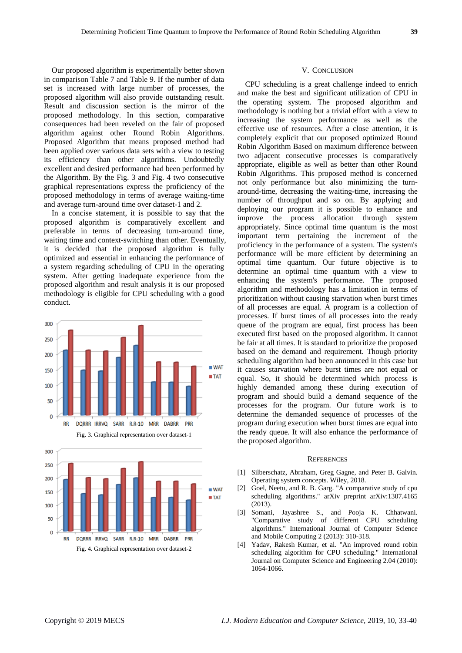Our proposed algorithm is experimentally better shown in comparison Table 7 and Table 9. If the number of data set is increased with large number of processes, the proposed algorithm will also provide outstanding result. Result and discussion section is the mirror of the proposed methodology. In this section, comparative consequences had been reveled on the fair of proposed algorithm against other Round Robin Algorithms. Proposed Algorithm that means proposed method had been applied over various data sets with a view to testing its efficiency than other algorithms. Undoubtedly excellent and desired performance had been performed by the Algorithm. By the Fig. 3 and Fig. 4 two consecutive graphical representations express the proficiency of the proposed methodology in terms of average waiting-time and average turn-around time over dataset-1 and 2.

In a concise statement, it is possible to say that the proposed algorithm is comparatively excellent and preferable in terms of decreasing turn-around time, waiting time and context-switching than other. Eventually, it is decided that the proposed algorithm is fully optimized and essential in enhancing the performance of a system regarding scheduling of CPU in the operating system. After getting inadequate experience from the proposed algorithm and result analysis it is our proposed methodology is eligible for CPU scheduling with a good conduct.





## V. CONCLUSION

CPU scheduling is a great challenge indeed to enrich and make the best and significant utilization of CPU in the operating system. The proposed algorithm and methodology is nothing but a trivial effort with a view to increasing the system performance as well as the effective use of resources. After a close attention, it is completely explicit that our proposed optimized Round Robin Algorithm Based on maximum difference between two adjacent consecutive processes is comparatively appropriate, eligible as well as better than other Round Robin Algorithms. This proposed method is concerned not only performance but also minimizing the turnaround-time, decreasing the waiting-time, increasing the number of throughput and so on. By applying and deploying our program it is possible to enhance and improve the process allocation through system appropriately. Since optimal time quantum is the most important term pertaining the increment of the proficiency in the performance of a system. The system's performance will be more efficient by determining an optimal time quantum. Our future objective is to determine an optimal time quantum with a view to enhancing the system's performance. The proposed algorithm and methodology has a limitation in terms of prioritization without causing starvation when burst times of all processes are equal. A program is a collection of processes. If burst times of all processes into the ready queue of the program are equal, first process has been executed first based on the proposed algorithm. It cannot be fair at all times. It is standard to prioritize the proposed based on the demand and requirement. Though priority scheduling algorithm had been announced in this case but it causes starvation where burst times are not equal or equal. So, it should be determined which process is highly demanded among these during execution of program and should build a demand sequence of the processes for the program. Our future work is to determine the demanded sequence of processes of the program during execution when burst times are equal into the ready queue. It will also enhance the performance of the proposed algorithm.

### **REFERENCES**

- [1] Silberschatz, Abraham, Greg Gagne, and Peter B. Galvin. Operating system concepts. Wiley, 2018.
- [2] Goel, Neetu, and R. B. Garg. "A comparative study of cpu scheduling algorithms." arXiv preprint arXiv:1307.4165 (2013).
- [3] Somani, Jayashree S., and Pooja K. Chhatwani. "Comparative study of different CPU scheduling algorithms." International Journal of Computer Science and Mobile Computing 2 (2013): 310-318.
- [4] Yadav, Rakesh Kumar, et al. "An improved round robin scheduling algorithm for CPU scheduling." International Journal on Computer Science and Engineering 2.04 (2010): 1064-1066.